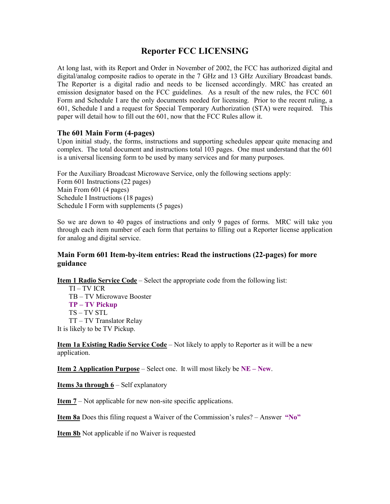# **Reporter FCC LICENSING**

At long last, with its Report and Order in November of 2002, the FCC has authorized digital and digital/analog composite radios to operate in the 7 GHz and 13 GHz Auxiliary Broadcast bands. The Reporter is a digital radio and needs to be licensed accordingly. MRC has created an emission designator based on the FCC guidelines. As a result of the new rules, the FCC 601 Form and Schedule I are the only documents needed for licensing. Prior to the recent ruling, a 601, Schedule I and a request for Special Temporary Authorization (STA) were required. This paper will detail how to fill out the 601, now that the FCC Rules allow it.

# **The 601 Main Form (4-pages)**

Upon initial study, the forms, instructions and supporting schedules appear quite menacing and complex. The total document and instructions total 103 pages. One must understand that the 601 is a universal licensing form to be used by many services and for many purposes.

For the Auxiliary Broadcast Microwave Service, only the following sections apply: Form 601 Instructions (22 pages) Main From 601 (4 pages) Schedule I Instructions (18 pages) Schedule I Form with supplements (5 pages)

So we are down to 40 pages of instructions and only 9 pages of forms. MRC will take you through each item number of each form that pertains to filling out a Reporter license application for analog and digital service.

# **Main Form 601 Item-by-item entries: Read the instructions (22-pages) for more guidance**

**Item 1 Radio Service Code** – Select the appropriate code from the following list:

TI – TV ICR TB – TV Microwave Booster **TP – TV Pickup**  TS – TV STL TT – TV Translator Relay It is likely to be TV Pickup.

**Item 1a Existing Radio Service Code** – Not likely to apply to Reporter as it will be a new application.

**Item 2 Application Purpose** – Select one. It will most likely be **NE – New**.

**Items 3a through 6** – Self explanatory

**Item 7** – Not applicable for new non-site specific applications.

**Item 8a** Does this filing request a Waiver of the Commission's rules? – Answer **"No"**

**Item 8b** Not applicable if no Waiver is requested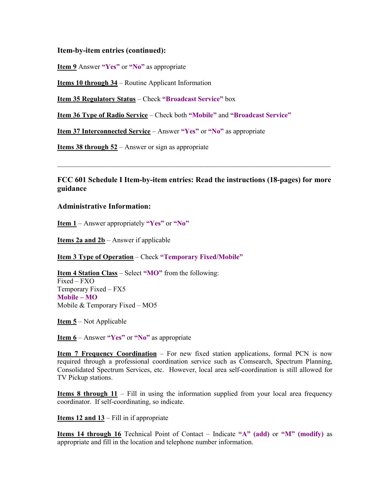## **Item-by-item entries (continued):**

**Item 9** Answer **"Yes"** or **"No"** as appropriate

**Items 10 through 34** – Routine Applicant Information

**Item 35 Regulatory Status** – Check **"Broadcast Service"** box

**Item 36 Type of Radio Service** – Check both **"Mobile"** and **"Broadcast Service"**

**Item 37 Interconnected Service** – Answer **"Yes"** or **"No"** as appropriate

**Items 38 through 52** – Answer or sign as appropriate

**FCC 601 Schedule I Item-by-item entries: Read the instructions (18-pages) for more guidance** 

 $\mathcal{L}_\mathcal{L} = \{ \mathcal{L}_\mathcal{L} = \{ \mathcal{L}_\mathcal{L} = \{ \mathcal{L}_\mathcal{L} = \{ \mathcal{L}_\mathcal{L} = \{ \mathcal{L}_\mathcal{L} = \{ \mathcal{L}_\mathcal{L} = \{ \mathcal{L}_\mathcal{L} = \{ \mathcal{L}_\mathcal{L} = \{ \mathcal{L}_\mathcal{L} = \{ \mathcal{L}_\mathcal{L} = \{ \mathcal{L}_\mathcal{L} = \{ \mathcal{L}_\mathcal{L} = \{ \mathcal{L}_\mathcal{L} = \{ \mathcal{L}_\mathcal{$ 

#### **Administrative Information:**

**Item 1** – Answer appropriately **"Yes"** or **"No"**

**Items 2a and 2b** – Answer if applicable

**Item 3 Type of Operation** – Check **"Temporary Fixed/Mobile"**

**Item 4 Station Class** – Select **"MO"** from the following: Fixed – FXO Temporary Fixed – FX5 **Mobile – MO**  Mobile & Temporary Fixed – MO5

**Item 5** – Not Applicable

**Item 6** – Answer **"Yes"** or **"No"** as appropriate

**Item 7 Frequency Coordination** – For new fixed station applications, formal PCN is now required through a professional coordination service such as Comsearch, Spectrum Planning, Consolidated Spectrum Services, etc. However, local area self-coordination is still allowed for TV Pickup stations.

**Items 8 through 11** – Fill in using the information supplied from your local area frequency coordinator. If self-coordinating, so indicate.

**Items 12 and 13** – Fill in if appropriate

**Items 14 through 16** Technical Point of Contact – Indicate **"A" (add)** or **"M" (modify)** as appropriate and fill in the location and telephone number information.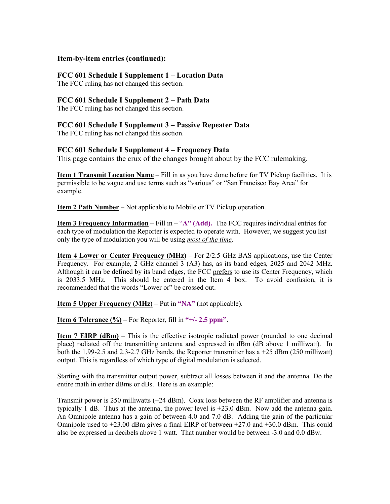## **Item-by-item entries (continued):**

# **FCC 601 Schedule I Supplement 1 – Location Data**

The FCC ruling has not changed this section.

# **FCC 601 Schedule I Supplement 2 – Path Data**

The FCC ruling has not changed this section.

# **FCC 601 Schedule I Supplement 3 – Passive Repeater Data**

The FCC ruling has not changed this section.

# **FCC 601 Schedule I Supplement 4 – Frequency Data**

This page contains the crux of the changes brought about by the FCC rulemaking.

**Item 1 Transmit Location Name** – Fill in as you have done before for TV Pickup facilities. It is permissible to be vague and use terms such as "various" or "San Francisco Bay Area" for example.

**Item 2 Path Number** – Not applicable to Mobile or TV Pickup operation.

**Item 3 Frequency Information** – Fill in – "**A" (Add).** The FCC requires individual entries for each type of modulation the Reporter is expected to operate with. However, we suggest you list only the type of modulation you will be using *most of the time*.

**Item 4 Lower or Center Frequency (MHz)** – For 2/2.5 GHz BAS applications, use the Center Frequency. For example, 2 GHz channel 3 (A3) has, as its band edges, 2025 and 2042 MHz. Although it can be defined by its band edges, the FCC prefers to use its Center Frequency, which is 2033.5 MHz. This should be entered in the Item 4 box. To avoid confusion, it is recommended that the words "Lower or" be crossed out.

**Item 5 Upper Frequency (MHz)** – Put in **"NA"** (not applicable).

**Item 6 Tolerance (%)** – For Reporter, fill in **"+/- 2.5 ppm"**.

**Item 7 EIRP (dBm)** – This is the effective isotropic radiated power (rounded to one decimal place) radiated off the transmitting antenna and expressed in dBm (dB above 1 milliwatt). In both the 1.99-2.5 and 2.3-2.7 GHz bands, the Reporter transmitter has  $a + 25$  dBm (250 milliwatt) output. This is regardless of which type of digital modulation is selected.

Starting with the transmitter output power, subtract all losses between it and the antenna. Do the entire math in either dBms or dBs. Here is an example:

Transmit power is 250 milliwatts (+24 dBm). Coax loss between the RF amplifier and antenna is typically 1 dB. Thus at the antenna, the power level is  $+23.0$  dBm. Now add the antenna gain. An Omnipole antenna has a gain of between 4.0 and 7.0 dB. Adding the gain of the particular Omnipole used to  $+23.00$  dBm gives a final EIRP of between  $+27.0$  and  $+30.0$  dBm. This could also be expressed in decibels above 1 watt. That number would be between -3.0 and 0.0 dBw.